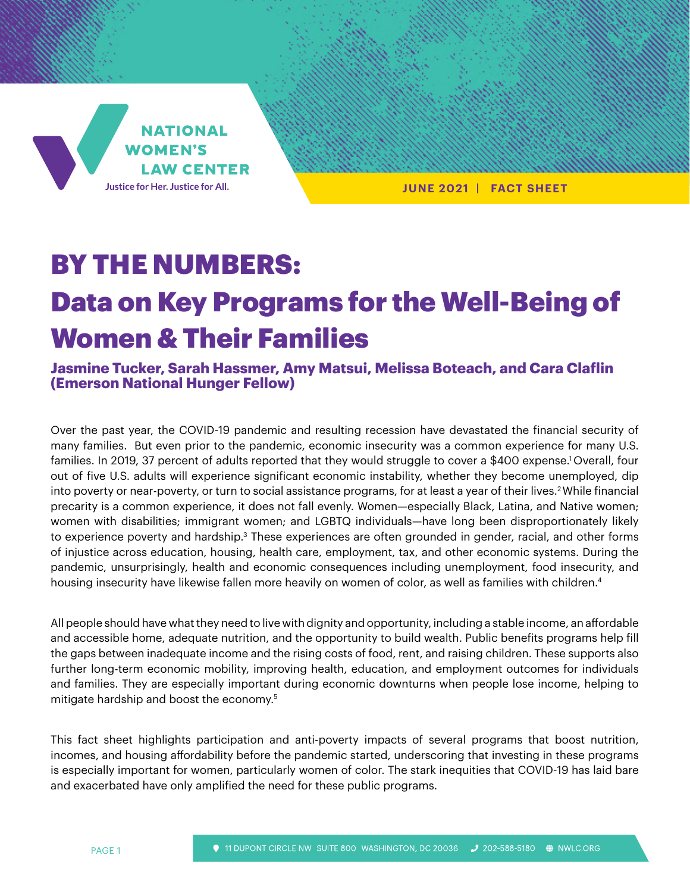

 **JUNE 2021 | FACT SHEET** 

# BY THE NUMBERS: Data on Key Programs for the Well-Being of Women & Their Families

**Jasmine Tucker, Sarah Hassmer, Amy Matsui, Melissa Boteach, and Cara Claflin (Emerson National Hunger Fellow)**

Over the past year, the COVID-19 pandemic and resulting recession have devastated the financial security of many families. But even prior to the pandemic, economic insecurity was a common experience for many U.S. families. In 2019, 37 percent of adults reported that they would struggle to cover a \$400 expense.1 Overall, four out of five U.S. adults will experience significant economic instability, whether they become unemployed, dip into poverty or near-poverty, or turn to social assistance programs, for at least a year of their lives.<sup>2</sup> While financial precarity is a common experience, it does not fall evenly. Women—especially Black, Latina, and Native women; women with disabilities; immigrant women; and LGBTQ individuals—have long been disproportionately likely to experience poverty and hardship.<sup>3</sup> These experiences are often grounded in gender, racial, and other forms of injustice across education, housing, health care, employment, tax, and other economic systems. During the pandemic, unsurprisingly, health and economic consequences including unemployment, food insecurity, and housing insecurity have likewise fallen more heavily on women of color, as well as families with children.4

All people should have what they need to live with dignity and opportunity, including a stable income, an affordable and accessible home, adequate nutrition, and the opportunity to build wealth. Public benefits programs help fill the gaps between inadequate income and the rising costs of food, rent, and raising children. These supports also further long-term economic mobility, improving health, education, and employment outcomes for individuals and families. They are especially important during economic downturns when people lose income, helping to mitigate hardship and boost the economy.5

This fact sheet highlights participation and anti-poverty impacts of several programs that boost nutrition, incomes, and housing affordability before the pandemic started, underscoring that investing in these programs is especially important for women, particularly women of color. The stark inequities that COVID-19 has laid bare and exacerbated have only amplified the need for these public programs.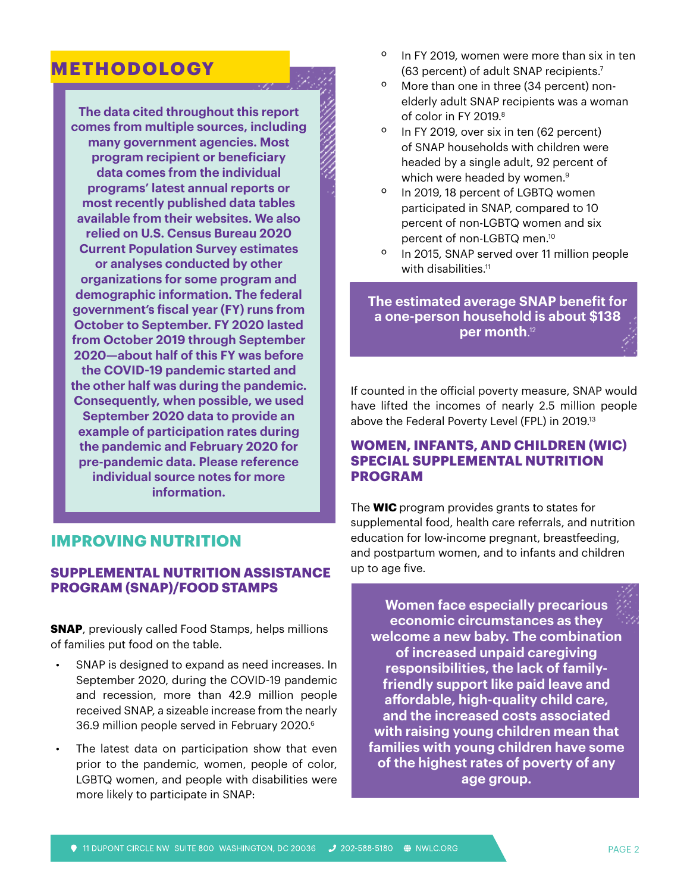## **METHODOLOGY**

**The data cited throughout this report comes from multiple sources, including many government agencies. Most program recipient or beneficiary data comes from the individual programs' latest annual reports or most recently published data tables available from their websites. We also relied on U.S. Census Bureau 2020 Current Population Survey estimates or analyses conducted by other organizations for some program and demographic information. The federal government's fiscal year (FY) runs from October to September. FY 2020 lasted from October 2019 through September 2020—about half of this FY was before the COVID-19 pandemic started and the other half was during the pandemic. Consequently, when possible, we used September 2020 data to provide an example of participation rates during the pandemic and February 2020 for pre-pandemic data. Please reference individual source notes for more information.** 

## **IMPROVING NUTRITION**

#### **SUPPLEMENTAL NUTRITION ASSISTANCE PROGRAM (SNAP)/FOOD STAMPS**

**SNAP**, previously called Food Stamps, helps millions of families put food on the table.

- SNAP is designed to expand as need increases. In September 2020, during the COVID-19 pandemic and recession, more than 42.9 million people received SNAP, a sizeable increase from the nearly 36.9 million people served in February 2020.<sup>6</sup>
- The latest data on participation show that even prior to the pandemic, women, people of color, LGBTQ women, and people with disabilities were more likely to participate in SNAP:
- º In FY 2019, women were more than six in ten (63 percent) of adult SNAP recipients.7
- º More than one in three (34 percent) nonelderly adult SNAP recipients was a woman of color in FY 2019.<sup>8</sup>
- º In FY 2019, over six in ten (62 percent) of SNAP households with children were headed by a single adult, 92 percent of which were headed by women.<sup>9</sup>
- º In 2019, 18 percent of LGBTQ women participated in SNAP, compared to 10 percent of non-LGBTQ women and six percent of non-LGBTQ men.10
- º In 2015, SNAP served over 11 million people with disabilities.<sup>11</sup>

**The estimated average SNAP benefit for a one-person household is about \$138 per month**. 12

If counted in the official poverty measure, SNAP would have lifted the incomes of nearly 2.5 million people above the Federal Poverty Level (FPL) in 2019.13

#### **WOMEN, INFANTS, AND CHILDREN (WIC) SPECIAL SUPPLEMENTAL NUTRITION PROGRAM**

The **WIC** program provides grants to states for supplemental food, health care referrals, and nutrition education for low-income pregnant, breastfeeding, and postpartum women, and to infants and children up to age five.

**Women face especially precarious economic circumstances as they welcome a new baby. The combination of increased unpaid caregiving responsibilities, the lack of familyfriendly support like paid leave and affordable, high-quality child care, and the increased costs associated with raising young children mean that families with young children have some of the highest rates of poverty of any age group.**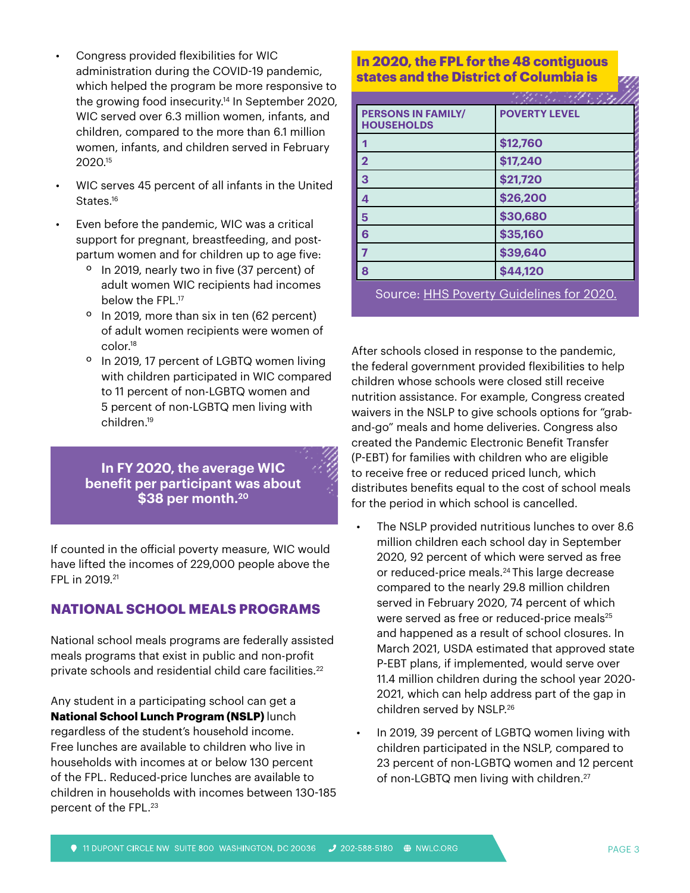- Congress provided flexibilities for WIC administration during the COVID-19 pandemic, which helped the program be more responsive to the growing food insecurity.14 In September 2020, WIC served over 6.3 million women, infants, and children, compared to the more than 6.1 million women, infants, and children served in February 2020.15
- WIC serves 45 percent of all infants in the United States.<sup>16</sup>
- Even before the pandemic, WIC was a critical support for pregnant, breastfeeding, and postpartum women and for children up to age five:
	- º In 2019, nearly two in five (37 percent) of adult women WIC recipients had incomes below the FPL.<sup>17</sup>
	- º In 2019, more than six in ten (62 percent) of adult women recipients were women of color.18
	- º In 2019, 17 percent of LGBTQ women living with children participated in WIC compared to 11 percent of non-LGBTQ women and 5 percent of non-LGBTQ men living with children.19

**In FY 2020, the average WIC benefit per participant was about \$38 per month.20**

If counted in the official poverty measure, WIC would have lifted the incomes of 229,000 people above the FPL in 2019.21

## **NATIONAL SCHOOL MEALS PROGRAMS**

National school meals programs are federally assisted meals programs that exist in public and non-profit private schools and residential child care facilities.<sup>22</sup>

Any student in a participating school can get a **National School Lunch Program (NSLP)** lunch regardless of the student's household income. Free lunches are available to children who live in households with incomes at or below 130 percent of the FPL. Reduced-price lunches are available to children in households with incomes between 130-185 percent of the FPL.23

### **The estimated average states and the District of Columbia is In 2020, the FPL for the 48 contiguous**

| <b>PERSONS IN FAMILY/</b><br><b>HOUSEHOLDS</b> | <b>POVERTY LEVEL</b>          |
|------------------------------------------------|-------------------------------|
| 1                                              | \$12,760                      |
| $\overline{\mathbf{2}}$                        | \$17,240                      |
| 3                                              | \$21,720                      |
| 4                                              | \$26,200                      |
| 5                                              | \$30,680                      |
| 6                                              | \$35,160                      |
| 7                                              | \$39,640                      |
| 8                                              | \$44,120                      |
|                                                | .<br>$\overline{\phantom{a}}$ |

Source: [HHS Poverty Guidelines for 2020.](https://aspe.hhs.gov/2020-poverty-guidelines#threshholds)

After schools closed in response to the pandemic, the federal government provided flexibilities to help children whose schools were closed still receive nutrition assistance. For example, Congress created waivers in the NSLP to give schools options for "graband-go" meals and home deliveries. Congress also created the Pandemic Electronic Benefit Transfer (P-EBT) for families with children who are eligible to receive free or reduced priced lunch, which distributes benefits equal to the cost of school meals for the period in which school is cancelled.

- The NSLP provided nutritious lunches to over 8.6 million children each school day in September 2020, 92 percent of which were served as free or reduced-price meals.<sup>24</sup> This large decrease compared to the nearly 29.8 million children served in February 2020, 74 percent of which were served as free or reduced-price meals<sup>25</sup> and happened as a result of school closures. In March 2021, USDA estimated that approved state P-EBT plans, if implemented, would serve over 11.4 million children during the school year 2020- 2021, which can help address part of the gap in children served by NSLP.26
- In 2019, 39 percent of LGBTQ women living with children participated in the NSLP, compared to 23 percent of non-LGBTQ women and 12 percent of non-LGBTQ men living with children.<sup>27</sup>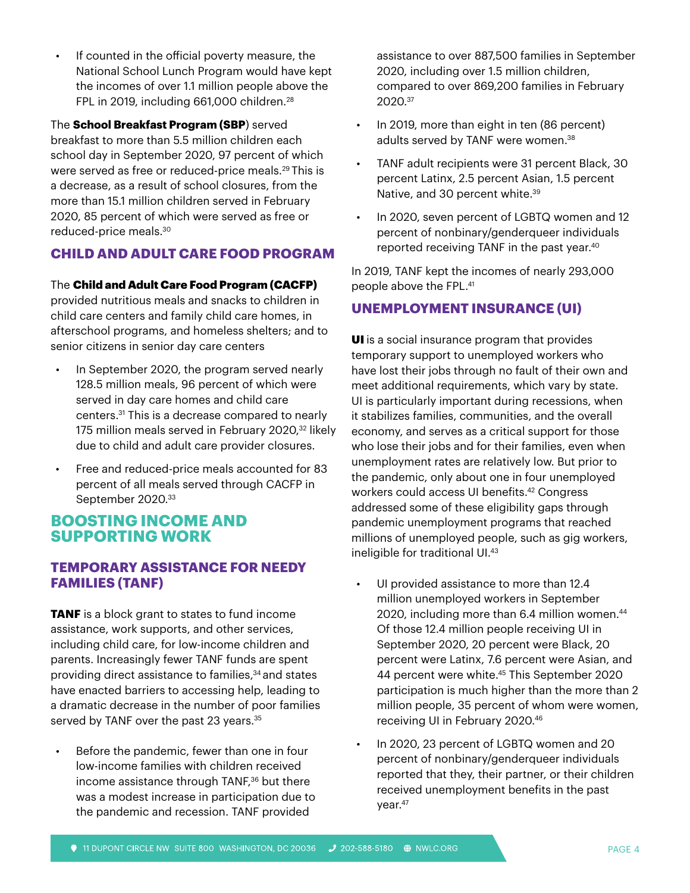If counted in the official poverty measure, the National School Lunch Program would have kept the incomes of over 1.1 million people above the FPL in 2019, including 661,000 children.<sup>28</sup>

The **School Breakfast Program (SBP**) served breakfast to more than 5.5 million children each school day in September 2020, 97 percent of which were served as free or reduced-price meals.<sup>29</sup> This is a decrease, as a result of school closures, from the more than 15.1 million children served in February 2020, 85 percent of which were served as free or reduced-price meals.30

## **CHILD AND ADULT CARE FOOD PROGRAM**

#### The Child and Adult Care Food Program (CACFP)

provided nutritious meals and snacks to children in child care centers and family child care homes, in afterschool programs, and homeless shelters; and to senior citizens in senior day care centers

- In September 2020, the program served nearly 128.5 million meals, 96 percent of which were served in day care homes and child care centers.31 This is a decrease compared to nearly 175 million meals served in February 2020,<sup>32</sup> likely due to child and adult care provider closures.
- Free and reduced-price meals accounted for 83 percent of all meals served through CACFP in September 2020.33

## **BOOSTING INCOME AND SUPPORTING WORK**

### **TEMPORARY ASSISTANCE FOR NEEDY FAMILIES (TANF)**

**TANF** is a block grant to states to fund income assistance, work supports, and other services, including child care, for low-income children and parents. Increasingly fewer TANF funds are spent providing direct assistance to families,<sup>34</sup> and states have enacted barriers to accessing help, leading to a dramatic decrease in the number of poor families served by TANF over the past 23 years.<sup>35</sup>

Before the pandemic, fewer than one in four low-income families with children received income assistance through TANF,<sup>36</sup> but there was a modest increase in participation due to the pandemic and recession. TANF provided

assistance to over 887,500 families in September 2020, including over 1.5 million children, compared to over 869,200 families in February 2020.37

- In 2019, more than eight in ten (86 percent) adults served by TANF were women.<sup>38</sup>
- TANF adult recipients were 31 percent Black, 30 percent Latinx, 2.5 percent Asian, 1.5 percent Native, and 30 percent white.<sup>39</sup>
- In 2020, seven percent of LGBTQ women and 12 percent of nonbinary/genderqueer individuals reported receiving TANF in the past year.40

In 2019, TANF kept the incomes of nearly 293,000 people above the FPL.41

## **UNEMPLOYMENT INSURANCE (UI)**

UI is a social insurance program that provides temporary support to unemployed workers who have lost their jobs through no fault of their own and meet additional requirements, which vary by state. UI is particularly important during recessions, when it stabilizes families, communities, and the overall economy, and serves as a critical support for those who lose their jobs and for their families, even when unemployment rates are relatively low. But prior to the pandemic, only about one in four unemployed workers could access UI benefits.42 Congress addressed some of these eligibility gaps through pandemic unemployment programs that reached millions of unemployed people, such as gig workers, ineligible for traditional UI.43

- UI provided assistance to more than 12.4 million unemployed workers in September 2020, including more than 6.4 million women.<sup>44</sup> Of those 12.4 million people receiving UI in September 2020, 20 percent were Black, 20 percent were Latinx, 7.6 percent were Asian, and 44 percent were white.<sup>45</sup> This September 2020 participation is much higher than the more than 2 million people, 35 percent of whom were women, receiving UI in February 2020.46
- In 2020, 23 percent of LGBTQ women and 20 percent of nonbinary/genderqueer individuals reported that they, their partner, or their children received unemployment benefits in the past year.<sup>47</sup>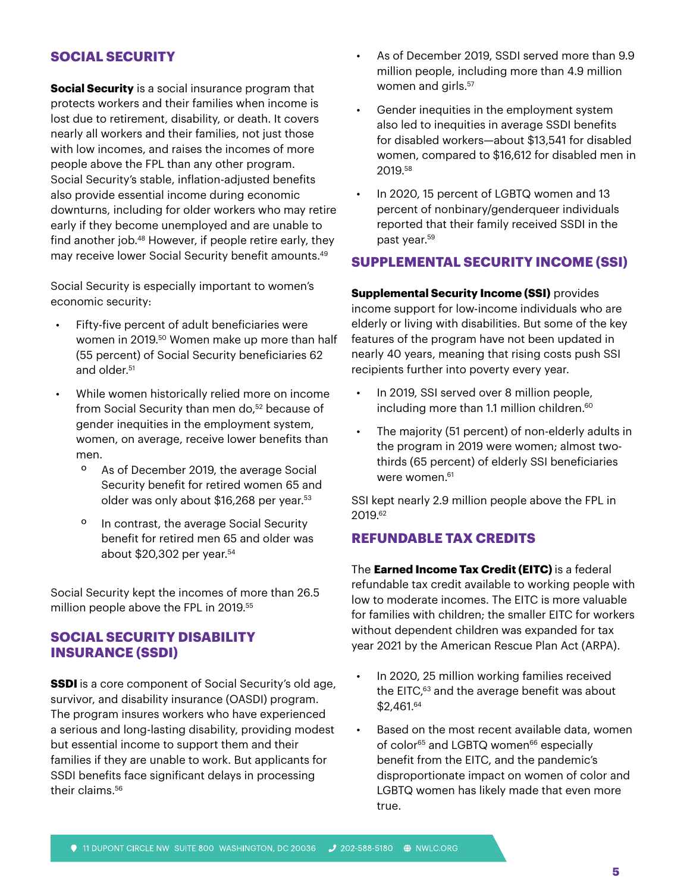#### **SOCIAL SECURITY**

**Social Security** is a social insurance program that protects workers and their families when income is lost due to retirement, disability, or death. It covers nearly all workers and their families, not just those with low incomes, and raises the incomes of more people above the FPL than any other program. Social Security's stable, inflation-adjusted benefits also provide essential income during economic downturns, including for older workers who may retire early if they become unemployed and are unable to find another job.48 However, if people retire early, they may receive lower Social Security benefit amounts.49

Social Security is especially important to women's economic security:

- Fifty-five percent of adult beneficiaries were women in 2019.<sup>50</sup> Women make up more than half (55 percent) of Social Security beneficiaries 62 and older.<sup>51</sup>
- While women historically relied more on income from Social Security than men do,<sup>52</sup> because of gender inequities in the employment system, women, on average, receive lower benefits than men.
	- º As of December 2019, the average Social Security benefit for retired women 65 and older was only about \$16,268 per year.<sup>53</sup>
	- º In contrast, the average Social Security benefit for retired men 65 and older was about \$20,302 per year.54

Social Security kept the incomes of more than 26.5 million people above the FPL in 2019.55

#### **SOCIAL SECURITY DISABILITY INSURANCE (SSDI)**

**SSDI** is a core component of Social Security's old age, survivor, and disability insurance (OASDI) program. The program insures workers who have experienced a serious and long-lasting disability, providing modest but essential income to support them and their families if they are unable to work. But applicants for SSDI benefits face significant delays in processing their claims.<sup>56</sup>

- As of December 2019, SSDI served more than 9.9 million people, including more than 4.9 million women and girls.<sup>57</sup>
- Gender inequities in the employment system also led to inequities in average SSDI benefits for disabled workers—about \$13,541 for disabled women, compared to \$16,612 for disabled men in 2019.58
- In 2020, 15 percent of LGBTQ women and 13 percent of nonbinary/genderqueer individuals reported that their family received SSDI in the past year.59

#### **SUPPLEMENTAL SECURITY INCOME (SSI)**

**Supplemental Security Income (SSI)** provides income support for low-income individuals who are elderly or living with disabilities. But some of the key features of the program have not been updated in nearly 40 years, meaning that rising costs push SSI recipients further into poverty every year.

- In 2019, SSI served over 8 million people, including more than 1.1 million children.<sup>60</sup>
- The majority (51 percent) of non-elderly adults in the program in 2019 were women; almost twothirds (65 percent) of elderly SSI beneficiaries were women.<sup>61</sup>

SSI kept nearly 2.9 million people above the FPL in 2019.62

#### **REFUNDABLE TAX CREDITS**

The **Earned Income Tax Credit (EITC)** is a federal refundable tax credit available to working people with low to moderate incomes. The EITC is more valuable for families with children; the smaller EITC for workers without dependent children was expanded for tax year 2021 by the American Rescue Plan Act (ARPA).

- In 2020, 25 million working families received the EITC,<sup>63</sup> and the average benefit was about \$2,461.64
- Based on the most recent available data, women of color<sup>65</sup> and LGBTQ women<sup>66</sup> especially benefit from the EITC, and the pandemic's disproportionate impact on women of color and LGBTQ women has likely made that even more true.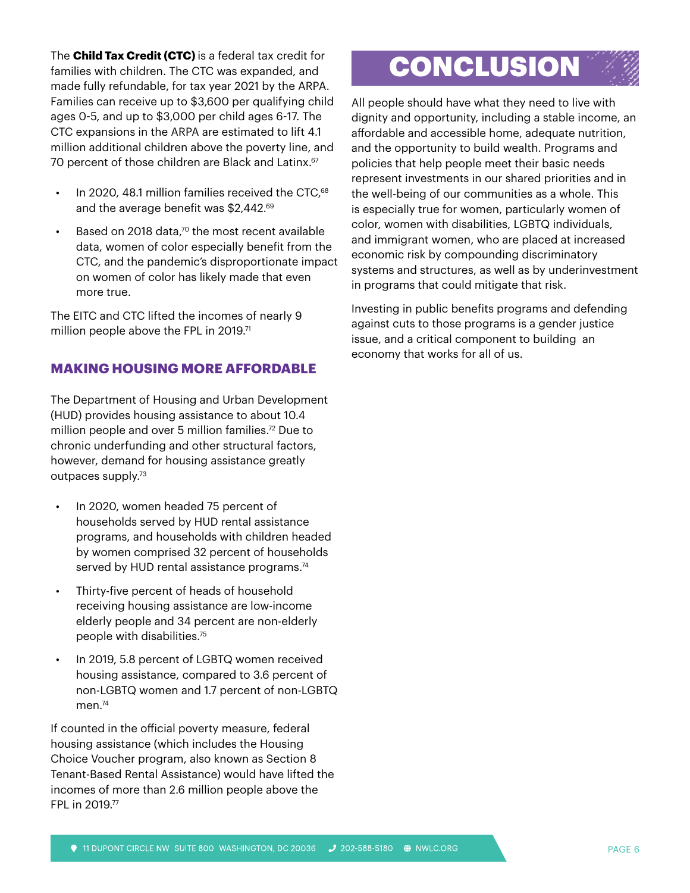The **Child Tax Credit (CTC)** is a federal tax credit for families with children. The CTC was expanded, and made fully refundable, for tax year 2021 by the ARPA. Families can receive up to \$3,600 per qualifying child ages 0-5, and up to \$3,000 per child ages 6-17. The CTC expansions in the ARPA are estimated to lift 4.1 million additional children above the poverty line, and 70 percent of those children are Black and Latinx.<sup>67</sup>

- In 2020, 48.1 million families received the CTC,<sup>68</sup> and the average benefit was \$2,442.69
- Based on 2018 data, $70$  the most recent available data, women of color especially benefit from the CTC, and the pandemic's disproportionate impact on women of color has likely made that even more true.

The EITC and CTC lifted the incomes of nearly 9 million people above the FPL in 2019.<sup>71</sup>

### **MAKING HOUSING MORE AFFORDABLE**

The Department of Housing and Urban Development (HUD) provides housing assistance to about 10.4 million people and over 5 million families.<sup>72</sup> Due to chronic underfunding and other structural factors, however, demand for housing assistance greatly outpaces supply.73

- In 2020, women headed 75 percent of households served by HUD rental assistance programs, and households with children headed by women comprised 32 percent of households served by HUD rental assistance programs.<sup>74</sup>
- Thirty-five percent of heads of household receiving housing assistance are low-income elderly people and 34 percent are non-elderly people with disabilities.75
- In 2019, 5.8 percent of LGBTQ women received housing assistance, compared to 3.6 percent of non-LGBTQ women and 1.7 percent of non-LGBTQ men. $74$

If counted in the official poverty measure, federal housing assistance (which includes the Housing Choice Voucher program, also known as Section 8 Tenant-Based Rental Assistance) would have lifted the incomes of more than 2.6 million people above the FPL in 2019.77

# **CONCLUSION**

All people should have what they need to live with dignity and opportunity, including a stable income, an affordable and accessible home, adequate nutrition, and the opportunity to build wealth. Programs and policies that help people meet their basic needs represent investments in our shared priorities and in the well-being of our communities as a whole. This is especially true for women, particularly women of color, women with disabilities, LGBTQ individuals, and immigrant women, who are placed at increased economic risk by compounding discriminatory systems and structures, as well as by underinvestment in programs that could mitigate that risk.

Investing in public benefits programs and defending against cuts to those programs is a gender justice issue, and a critical component to building an economy that works for all of us.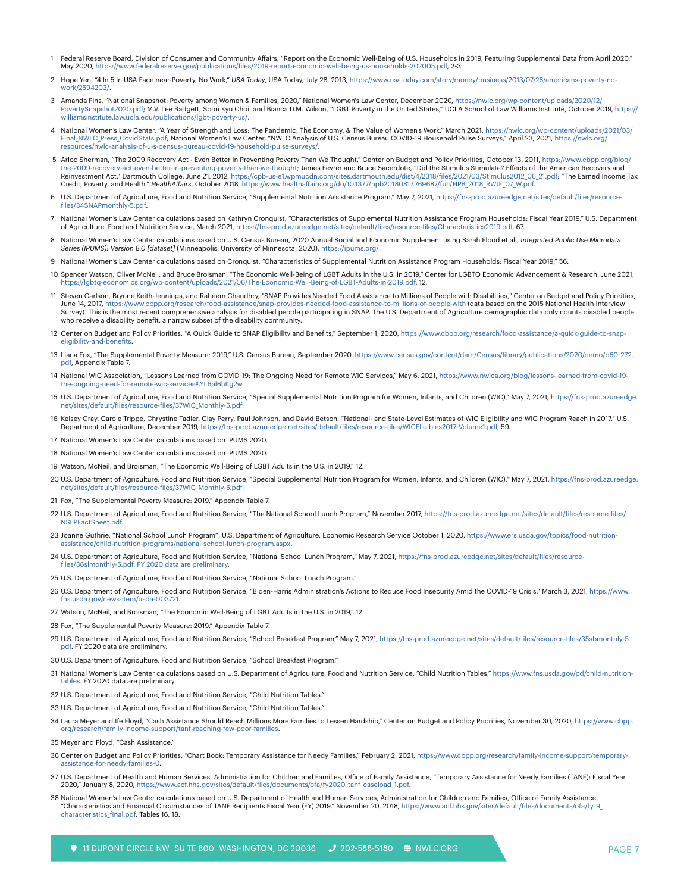- 1 Federal Reserve Board, Division of Consumer and Community Affairs, "Report on the Economic Well-Being of U.S. Households in 2019, Featuring Supplemental Data from April 2020," May 2020, [https://www.federalreserve.gov/publications/files/2019-report-economic-well-being-us-households-202005.pdf,](https://www.federalreserve.gov/publications/files/2019-report-economic-well-being-us-households-202005.pdf) 2-3.
- 2 Hope Yen, "4 In 5 in USA Face near-Poverty, No Work," *USA Today*, USA Today, July 28, 2013, [https://www.usatoday.com/story/money/business/2013/07/28/americans-poverty-no](https://www.usatoday.com/story/money/business/2013/07/28/americans-poverty-no-work/2594203/)[work/2594203/](https://www.usatoday.com/story/money/business/2013/07/28/americans-poverty-no-work/2594203/).
- 3 Amanda Fins, "National Snapshot: Poverty among Women & Families, 2020," National Women's Law Center, December 2020, [https://nwlc.org/wp-content/uploads/2020/12/](https://nwlc.org/wp-content/uploads/2020/12/PovertySnapshot2020.pdf) [PovertySnapshot2020.pdf](https://nwlc.org/wp-content/uploads/2020/12/PovertySnapshot2020.pdf); M.V. Lee Badgett, Soon Kyu Choi, and Bianca D.M. Wilson, "LGBT Poverty in the United States," UCLA School of Law Williams Institute, October 2019, [https://](https://williamsinstitute.law.ucla.edu/publications/lgbt-poverty-us/) [williamsinstitute.law.ucla.edu/publications/lgbt-poverty-us/.](https://williamsinstitute.law.ucla.edu/publications/lgbt-poverty-us/)
- 4 National Women's Law Center, "A Year of Strength and Loss: The Pandemic, The Economy, & The Value of Women's Work," March 2021, [https://nwlc.org/wp-content/uploads/2021/03/](https://nwlc.org/wp-content/uploads/2021/03/Final_NWLC_Press_CovidStats.pdf) [Final\\_NWLC\\_Press\\_CovidStats.pdf](https://nwlc.org/wp-content/uploads/2021/03/Final_NWLC_Press_CovidStats.pdf)**; National Women's Law Center, "NWLC Analysis of U.S. Census Bureau COVID-19 Household Pulse Surveys," April 23, 2021, [https://nwlc.org/](https://nwlc.org/resources/nwlc-analysis-of-u-s-census-bureau-covid-19-household-pulse-surveys/)<br>resources/nwlc-analysis-of-u-s-census-bureau-covid-19**
- 5 Arloc Sherman, "The 2009 Recovery Act Even Better in Preventing Poverty Than We Thought," Center on Budget and Policy Priorities, October 13, 2011, [https://www.cbpp.org/blog/](https://www.cbpp.org/blog/the-2009-recovery-act-even-better-in-preventing-poverty-than-we-thought) the-2009-recovery-act-even-better-in-preventing-poverty-than-we-thought**; James Feyrer and Bruce Sacerdote, "Did the Stimulus Stimulate? Effects of the American Recovery and<br>Reinvestment Act," Dartmouth College, June 21, 2** Credit, Poverty, and Health," *HealthAffairs*, October 2018, [https://www.healthaffairs.org/do/10.1377/hpb20180817.769687/full/HPB\\_2018\\_RWJF\\_07\\_W.pdf.](https://www.healthaffairs.org/do/10.1377/hpb20180817.769687/full/HPB_2018_RWJF_07_W.pdf)
- 6 U.S. Department of Agriculture, Food and Nutrition Service, "Supplemental Nutrition Assistance Program," May 7, 2021, [https://fns-prod.azureedge.net/sites/default/files/resource](https://fns-prod.azureedge.net/sites/default/files/resource-files/34SNAPmonthly-5.pdf)[files/34SNAPmonthly-5.pdf.](https://fns-prod.azureedge.net/sites/default/files/resource-files/34SNAPmonthly-5.pdf)
- 7 National Women's Law Center calculations based on Kathryn Cronquist, "Characteristics of Supplemental Nutrition Assistance Program Households: Fiscal Year 2019," U.S. Department of Agriculture, Food and Nutrition Service, March 2021, [https://fns-prod.azureedge.net/sites/default/files/resource-files/Characteristics2019.pdf,](https://fns-prod.azureedge.net/sites/default/files/resource-files/Characteristics2019.pdf) 67.
- 8 National Women's Law Center calculations based on U.S. Census Bureau, 2020 Annual Social and Economic Supplement using Sarah Flood et al., *Integrated Public Use Microdata Series (IPUMS): Version 8.0 [dataset]* (Minneapolis: University of Minnesota, 2020),<https://ipums.org/>.
- 9 National Women's Law Center calculations based on Cronquist, "Characteristics of Supplemental Nutrition Assistance Program Households: Fiscal Year 2019," 56.
- 10 Spencer Watson, Oliver McNeil, and Bruce Broisman, "The Economic Well-Being of LGBT Adults in the U.S. in 2019," Center for LGBTQ Economic Advancement & Research, June 2021, [https://lgbtq-economics.org/wp-content/uploads/2021/06/The-Economic-Well-Being-of-LGBT-Adults-in-2019.pdf,](https://lgbtq-economics.org/wp-content/uploads/2021/06/The-Economic-Well-Being-of-LGBT-Adults-in-2019.pdf) 12.
- 11 Steven Carlson, Brynne Keith-Jennings, and Raheem Chaudhry, "SNAP Provides Needed Food Assistance to Millions of People with Disabilities," Center on Budget and Policy Priorities,<br>June 14, 2017, https://www.cbpp.org/re Survey). This is the most recent comprehensive analysis for disabled people participating in SNAP. The U.S. Department of Agriculture demographic data only counts disabled people who receive a disability benefit, a narrow subset of the disability community.
- 12 Center on Budget and Policy Priorities, "A Quick Guide to SNAP Eligibility and Benefits," September 1, 2020, https://www.cbpp.org/research/food-assistance/a-quick-guide-to-snap [eligibility-and-benefits.](https://www.cbpp.org/research/food-assistance/a-quick-guide-to-snap-eligibility-and-benefits)
- 13 Liana Fox, "The Supplemental Poverty Measure: 2019," U.S. Census Bureau, September 2020, [https://www.census.gov/content/dam/Census/library/publications/2020/demo/p60-272.](https://www.census.gov/content/dam/Census/library/publications/2020/demo/p60-272.pdf) [pdf](https://www.census.gov/content/dam/Census/library/publications/2020/demo/p60-272.pdf), Appendix Table 7.
- 14 National WIC Association, "Lessons Learned from COVID-19: The Ongoing Need for Remote WIC Services," May 6, 2021, [https://www.nwica.org/blog/lessons-learned-from-covid-19](https://www.nwica.org/blog/lessons-learned-from-covid-19-the-ongoing-need-for-remote-wic-services#.YL6al6hKg2w) [the-ongoing-need-for-remote-wic-services#.YL6al6hKg2w.](https://www.nwica.org/blog/lessons-learned-from-covid-19-the-ongoing-need-for-remote-wic-services#.YL6al6hKg2w)
- 15 U.S. Department of Agriculture, Food and Nutrition Service, "Special Supplemental Nutrition Program for Women, Infants, and Children (WIC)," May 7, 2021[, https://fns-prod.azureedge.]( https://fns-prod.azureedge.net/sites/default/files/resource-files/37WIC_Monthly-5.pdf) /default/files/resource-files/37WIC\_Monthly-5.pdf.
- 16 Kelsey Gray, Carole Trippe, Chrystine Tadler, Clay Perry, Paul Johnson, and David Betson, "National- and State-Level Estimates of WIC Eligibility and WIC Program Reach in 2017," U.S. Department of Agriculture, December 2019,<https://fns-prod.azureedge.net/sites/default/files/resource-files/WICEligibles2017-Volume1.pdf>, 59.
- 17 National Women's Law Center calculations based on IPUMS 2020.
- 18 National Women's Law Center calculations based on IPUMS 2020.
- 19 Watson, McNeil, and Broisman, "The Economic Well-Being of LGBT Adults in the U.S. in 2019," 12.
- 20 U.S. Department of Agriculture, Food and Nutrition Service, "Special Supplemental Nutrition Program for Women, Infants, and Children (WIC)," May 7, 2021, [https://fns-prod.azureedge.](https://fns-prod.azureedge.net/sites/default/files/resource-files/37WIC_Monthly-5.pdf) [net/sites/default/files/resource-files/37WIC\\_Monthly-5.pdf.](https://fns-prod.azureedge.net/sites/default/files/resource-files/37WIC_Monthly-5.pdf)
- 21 Fox, "The Supplemental Poverty Measure: 2019," Appendix Table 7.
- 22 U.S. Department of Agriculture, Food and Nutrition Service, "The National School Lunch Program," November 2017, [https://fns-prod.azureedge.net/sites/default/files/resource-files/](https://fns-prod.azureedge.net/sites/default/files/resource-files/NSLPFactSheet.pdf) [NSLPFactSheet.pdf.](https://fns-prod.azureedge.net/sites/default/files/resource-files/NSLPFactSheet.pdf)
- 23 Joanne Guthrie, "National School Lunch Program", U.S. Department of Agriculture, Economic Research Service October 1, 2020, [https://www.ers.usda.gov/topics/food-nutrition](https://www.ers.usda.gov/topics/food-nutrition-assistance/child-nutrition-programs/national-school-lunch-program.aspx)[assistance/child-nutrition-programs/national-school-lunch-program.aspx.](https://www.ers.usda.gov/topics/food-nutrition-assistance/child-nutrition-programs/national-school-lunch-program.aspx)
- 24 U.S. Department of Agriculture, Food and Nutrition Service, "National School Lunch Program," May 7, 2021, [https://fns-prod.azureedge.net/sites/default/files/resource](https://fns-prod.azureedge.net/sites/default/files/resource-files/36slmonthly-5.pdf. FY 2020 data are preliminary)[files/36slmonthly-5.pdf. FY 2020 data are preliminary](https://fns-prod.azureedge.net/sites/default/files/resource-files/36slmonthly-5.pdf. FY 2020 data are preliminary).
- .<br>25 S. Department of Agriculture, Food and Nutrition Service, "National School Lunch Program.
- 26 U.S. Department of Agriculture, Food and Nutrition Service, "Biden-Harris Administration's Actions to Reduce Food Insecurity Amid the COVID-19 Crisis," March 3, 2021, [https://www.](https://www.fns.usda.gov/news-item/usda-003721 ) [fns.usda.gov/news-item/usda-003721.](https://www.fns.usda.gov/news-item/usda-003721 )
- 27 Watson, McNeil, and Broisman, "The Economic Well-Being of LGBT Adults in the U.S. in 2019," 12.
- 28 Fox, "The Supplemental Poverty Measure: 2019," Appendix Table 7.
- 29 U.S. Department of Agriculture, Food and Nutrition Service, "School Breakfast Program," May 7, 2021, [https://fns-prod.azureedge.net/sites/default/files/resource-files/35sbmonthly-5.](https://fns-prod.azureedge.net/sites/default/files/resource-files/35sbmonthly-5.pdf) [pdf](https://fns-prod.azureedge.net/sites/default/files/resource-files/35sbmonthly-5.pdf). FY 2020 data are preliminary.
- 30 U.S. Department of Agriculture, Food and Nutrition Service, "School Breakfast Program."
- 31 National Women's Law Center calculations based on U.S. Department of Agriculture, Food and Nutrition Service, "Child Nutrition Tables," [https://www.fns.usda.gov/pd/child-nutrition](https://www.fns.usda.gov/pd/child-nutrition-tables)[tables](https://www.fns.usda.gov/pd/child-nutrition-tables). FY 2020 data are preliminary.
- 32 U.S. Department of Agriculture, Food and Nutrition Service, "Child Nutrition Tables."
- 33 U.S. Department of Agriculture, Food and Nutrition Service, "Child Nutrition Tables."
- 34 Laura Meyer and Ife Floyd, "Cash Assistance Should Reach Millions More Families to Lessen Hardship," Center on Budget and Policy Priorities, November 30, 2020, [https://www.cbpp.](https://www.cbpp.org/research/family-income-support/tanf-reaching-few-poor-families ) [org/research/family-income-support/tanf-reaching-few-poor-families.](https://www.cbpp.org/research/family-income-support/tanf-reaching-few-poor-families )
- 35 Meyer and Floyd, "Cash Assistance"
- 36 Center on Budget and Policy Priorities, "Chart Book: Temporary Assistance for Needy Families," February 2, 2021, [https://www.cbpp.org/research/family-income-support/temporary](https://www.cbpp.org/research/family-income-support/temporary-assistance-for-needy-families-0)[assistance-for-needy-families-0.](https://www.cbpp.org/research/family-income-support/temporary-assistance-for-needy-families-0)
- 37 U.S. Department of Health and Human Services, Administration for Children and Families, Office of Family Assistance, "Temporary Assistance for Needy Families (TANF): Fiscal Year 2020," January 8, 2020, [https://www.acf.hhs.gov/sites/default/files/documents/ofa/fy2020\\_tanf\\_caseload\\_1.pdf](https://www.acf.hhs.gov/sites/default/files/documents/ofa/fy2020_tanf_caseload_1.pdf).
- 38 National Women's Law Center calculations based on U.S. Department of Health and Human Services, Administration for Children and Families, Office of Family Assistance, "Characteristics and Financial Circumstances of TANF Recipients Fiscal Year (FY) 2019," November 20, 2018, [https://www.acf.hhs.gov/sites/default/files/documents/ofa/fy19\\_](https://www.acf.hhs.gov/sites/default/files/documents/ofa/fy19_characteristics_final.pdf) [characteristics\\_final.pdf](https://www.acf.hhs.gov/sites/default/files/documents/ofa/fy19_characteristics_final.pdf), Tables 16, 18.